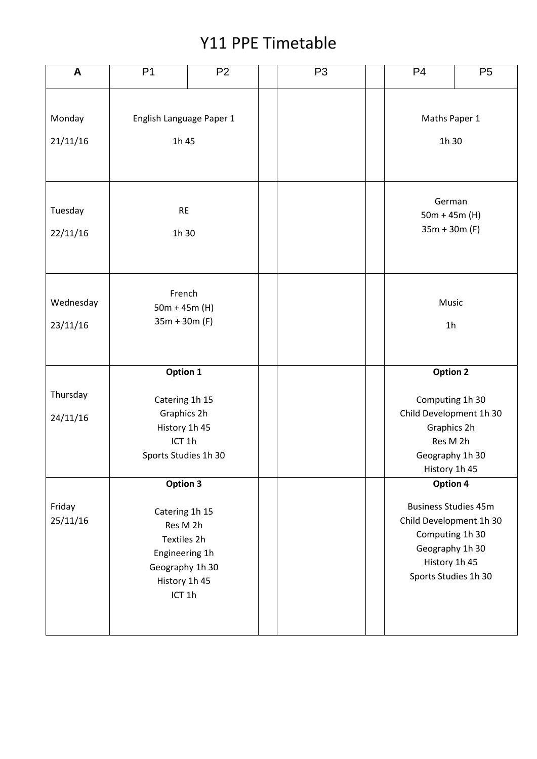## Y11 PPE Timetable

| A                     | P <sub>1</sub>                                                                                                        | P <sub>2</sub> | P <sub>3</sub> | P <sub>4</sub>                                                                                                                                    | P <sub>5</sub> |  |
|-----------------------|-----------------------------------------------------------------------------------------------------------------------|----------------|----------------|---------------------------------------------------------------------------------------------------------------------------------------------------|----------------|--|
| Monday<br>21/11/16    | English Language Paper 1<br>1h 45                                                                                     |                |                | Maths Paper 1<br>1h 30                                                                                                                            |                |  |
| Tuesday<br>22/11/16   | <b>RE</b><br>1h 30                                                                                                    |                |                | German<br>$50m + 45m$ (H)<br>$35m + 30m$ (F)                                                                                                      |                |  |
| Wednesday<br>23/11/16 | French<br>$50m + 45m$ (H)<br>$35m + 30m$ (F)                                                                          |                |                | Music<br>1 <sub>h</sub>                                                                                                                           |                |  |
| Thursday<br>24/11/16  | Option 1<br>Catering 1h 15<br>Graphics 2h<br>History 1h 45<br>ICT <sub>1</sub> h<br>Sports Studies 1h 30              |                |                | <b>Option 2</b><br>Computing 1h 30<br>Child Development 1h 30<br>Graphics 2h<br>Res M 2h<br>Geography 1h 30<br>History 1h 45                      |                |  |
| Friday<br>25/11/16    | Option 3<br>Catering 1h 15<br>Res M 2h<br>Textiles 2h<br>Engineering 1h<br>Geography 1h 30<br>History 1h 45<br>ICT 1h |                |                | Option 4<br><b>Business Studies 45m</b><br>Child Development 1h 30<br>Computing 1h 30<br>Geography 1h 30<br>History 1h 45<br>Sports Studies 1h 30 |                |  |